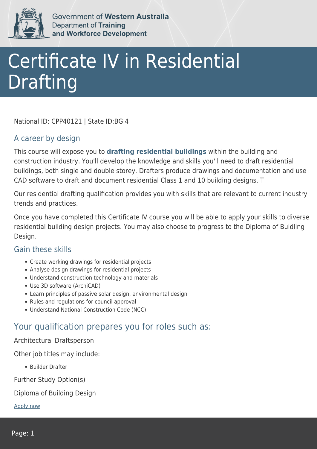

Government of Western Australia Department of Training and Workforce Development

# Certificate IV in Residential Drafting

National ID: CPP40121 | State ID:BGI4

### A career by design

This course will expose you to **drafting residential buildings** within the building and construction industry. You'll develop the knowledge and skills you'll need to draft residential buildings, both single and double storey. Drafters produce drawings and documentation and use CAD software to draft and document residential Class 1 and 10 building designs. T

Our residential drafting qualification provides you with skills that are relevant to current industry trends and practices.

Once you have completed this Certificate IV course you will be able to apply your skills to diverse residential building design projects. You may also choose to progress to the Diploma of Buidling Design.

#### Gain these skills

- Create working drawings for residential projects
- Analyse design drawings for residential projects
- Understand construction technology and materials
- Use 3D software (ArchiCAD)
- Learn principles of passive solar design, environmental design
- Rules and regulations for council approval
- Understand National Construction Code (NCC)

## Your qualification prepares you for roles such as:

Architectural Draftsperson

Other job titles may include:

Builder Drafter

Further Study Option(s)

#### Diploma of Building Design

[Apply now](https://tasonline.tafe.wa.edu.au/Default.aspx)